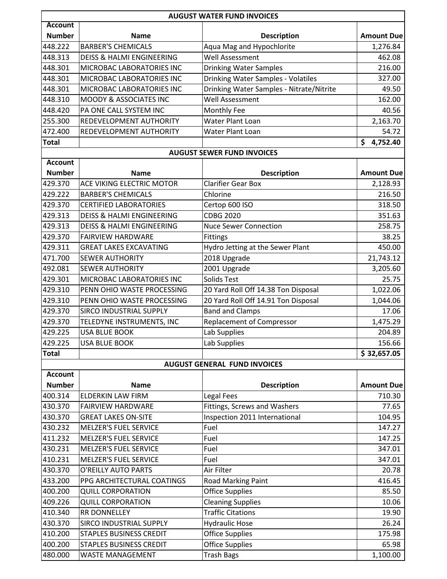|                |                                      | <b>AUGUST WATER FUND INVOICES</b>        |                   |
|----------------|--------------------------------------|------------------------------------------|-------------------|
| <b>Account</b> |                                      |                                          |                   |
| <b>Number</b>  | <b>Name</b>                          | <b>Description</b>                       | <b>Amount Due</b> |
| 448.222        | <b>BARBER'S CHEMICALS</b>            | Aqua Mag and Hypochlorite                | 1,276.84          |
| 448.313        | <b>DEISS &amp; HALMI ENGINEERING</b> | Well Assessment                          | 462.08            |
| 448.301        | MICROBAC LABORATORIES INC            | <b>Drinking Water Samples</b>            | 216.00            |
| 448.301        | MICROBAC LABORATORIES INC            | Drinking Water Samples - Volatiles       | 327.00            |
| 448.301        | MICROBAC LABORATORIES INC            | Drinking Water Samples - Nitrate/Nitrite | 49.50             |
| 448.310        | MOODY & ASSOCIATES INC               | Well Assessment                          | 162.00            |
| 448.420        | PA ONE CALL SYSTEM INC               | Monthly Fee                              | 40.56             |
| 255.300        | REDEVELOPMENT AUTHORITY              | Water Plant Loan                         | 2,163.70          |
| 472.400        | REDEVELOPMENT AUTHORITY              | Water Plant Loan                         | 54.72             |
| <b>Total</b>   |                                      |                                          | \$<br>4,752.40    |
|                |                                      | <b>AUGUST SEWER FUND INVOICES</b>        |                   |
| <b>Account</b> |                                      |                                          |                   |
| <b>Number</b>  | <b>Name</b>                          | <b>Description</b>                       | <b>Amount Due</b> |
| 429.370        | ACE VIKING ELECTRIC MOTOR            | <b>Clarifier Gear Box</b>                | 2,128.93          |
| 429.222        | <b>BARBER'S CHEMICALS</b>            | Chlorine                                 | 216.50            |
| 429.370        | <b>CERTIFIED LABORATORIES</b>        | Certop 600 ISO                           | 318.50            |
| 429.313        | <b>DEISS &amp; HALMI ENGINEERING</b> | <b>CDBG 2020</b>                         | 351.63            |
| 429.313        | <b>DEISS &amp; HALMI ENGINEERING</b> | <b>Nuce Sewer Connection</b>             | 258.75            |
| 429.370        | <b>FAIRVIEW HARDWARE</b>             | Fittings                                 | 38.25             |
| 429.311        | <b>GREAT LAKES EXCAVATING</b>        | Hydro Jetting at the Sewer Plant         | 450.00            |
| 471.700        | <b>SEWER AUTHORITY</b>               | 2018 Upgrade                             | 21,743.12         |
| 492.081        | <b>SEWER AUTHORITY</b>               | 2001 Upgrade                             | 3,205.60          |
| 429.301        | MICROBAC LABORATORIES INC            | Solids Test                              | 25.75             |
| 429.310        | PENN OHIO WASTE PROCESSING           | 20 Yard Roll Off 14.38 Ton Disposal      | 1,022.06          |
| 429.310        | PENN OHIO WASTE PROCESSING           | 20 Yard Roll Off 14.91 Ton Disposal      | 1,044.06          |
| 429.370        | SIRCO INDUSTRIAL SUPPLY              | <b>Band and Clamps</b>                   | 17.06             |
| 429.370        | TELEDYNE INSTRUMENTS, INC            | <b>Replacement of Compressor</b>         | 1,475.29          |
| 429.225        | <b>USA BLUE BOOK</b>                 | Lab Supplies                             | 204.89            |
| 429.225        | <b>USA BLUE BOOK</b>                 | Lab Supplies                             | 156.66            |
| <b>Total</b>   |                                      |                                          | \$32,657.05       |
|                |                                      | <b>AUGUST GENERAL FUND INVOICES</b>      |                   |
| <b>Account</b> |                                      |                                          |                   |
| <b>Number</b>  | <b>Name</b>                          | <b>Description</b>                       | <b>Amount Due</b> |
| 400.314        | ELDERKIN LAW FIRM                    | Legal Fees                               | 710.30            |
| 430.370        | <b>FAIRVIEW HARDWARE</b>             | Fittings, Screws and Washers             | 77.65             |
| 430.370        | <b>GREAT LAKES ON-SITE</b>           | Inspection 2011 International            | 104.95            |
| 430.232        | <b>MELZER'S FUEL SERVICE</b>         | Fuel                                     | 147.27            |
| 411.232        | <b>MELZER'S FUEL SERVICE</b>         | Fuel                                     | 147.25            |
| 430.231        | <b>MELZER'S FUEL SERVICE</b>         | Fuel                                     | 347.01            |
| 410.231        | <b>MELZER'S FUEL SERVICE</b>         | Fuel                                     | 347.01            |
| 430.370        | O'REILLY AUTO PARTS                  | Air Filter                               | 20.78             |
| 433.200        | PPG ARCHITECTURAL COATINGS           | Road Marking Paint                       | 416.45            |
| 400.200        | <b>QUILL CORPORATION</b>             | <b>Office Supplies</b>                   | 85.50             |
| 409.226        | <b>QUILL CORPORATION</b>             | <b>Cleaning Supplies</b>                 | 10.06             |
| 410.340        | RR DONNELLEY                         | <b>Traffic Citations</b>                 | 19.90             |
| 430.370        | SIRCO INDUSTRIAL SUPPLY              | <b>Hydraulic Hose</b>                    | 26.24             |
| 410.200        | <b>STAPLES BUSINESS CREDIT</b>       | <b>Office Supplies</b>                   | 175.98            |
| 400.200        | <b>STAPLES BUSINESS CREDIT</b>       | <b>Office Supplies</b>                   | 65.98             |
| 480.000        | <b>WASTE MANAGEMENT</b>              | <b>Trash Bags</b>                        | 1,100.00          |